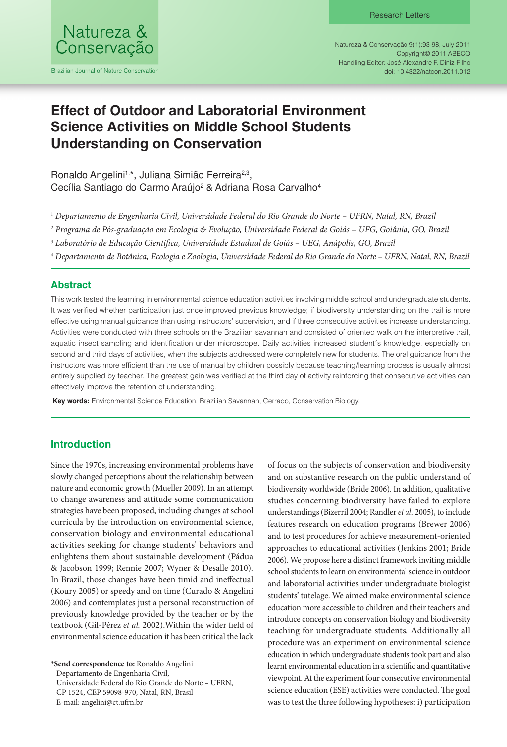

Brazilian Journal of Nature Conservation

Natureza & Conservação 9(1):93-98, July 2011 Copyright© 2011 ABECO Handling Editor: José Alexandre F. Diniz-Filho doi: 10.4322/natcon.2011.012

# **Effect of Outdoor and Laboratorial Environment Science Activities on Middle School Students Understanding on Conservation**

Ronaldo Angelini<sup>1,\*</sup>, Juliana Simião Ferreira<sup>2,3</sup>, Cecília Santiago do Carmo Araújo<sup>2</sup> & Adriana Rosa Carvalho<sup>4</sup>

- 1  *Departamento de Engenharia Civil, Universidade Federal do Rio Grande do Norte UFRN, Natal, RN, Brazil*
- 2  *Programa de Pós-graduação em Ecologia & Evolução, Universidade Federal de Goiás UFG, Goiânia, GO, Brazil*
- 3  *Laboratório de Educação Científica, Universidade Estadual de Goiás UEG, Anápolis, GO, Brazil*
- 4  *Departamento de Botânica, Ecologia e Zoologia, Universidade Federal do Rio Grande do Norte UFRN, Natal, RN, Brazil*

## **Abstract**

This work tested the learning in environmental science education activities involving middle school and undergraduate students. It was verified whether participation just once improved previous knowledge; if biodiversity understanding on the trail is more effective using manual guidance than using instructors' supervision, and if three consecutive activities increase understanding. Activities were conducted with three schools on the Brazilian savannah and consisted of oriented walk on the interpretive trail, aquatic insect sampling and identification under microscope. Daily activities increased student´s knowledge, especially on second and third days of activities, when the subjects addressed were completely new for students. The oral guidance from the instructors was more efficient than the use of manual by children possibly because teaching/learning process is usually almost entirely supplied by teacher. The greatest gain was verified at the third day of activity reinforcing that consecutive activities can effectively improve the retention of understanding.

 **Key words:** Environmental Science Education, Brazilian Savannah, Cerrado, Conservation Biology.

## **Introduction**

Since the 1970s, increasing environmental problems have slowly changed perceptions about the relationship between nature and economic growth (Mueller 2009). In an attempt to change awareness and attitude some communication strategies have been proposed, including changes at school curricula by the introduction on environmental science, conservation biology and environmental educational activities seeking for change students' behaviors and enlightens them about sustainable development (Pádua & Jacobson 1999; Rennie 2007; Wyner & Desalle 2010). In Brazil, those changes have been timid and ineffectual (Koury 2005) or speedy and on time (Curado & Angelini 2006) and contemplates just a personal reconstruction of previously knowledge provided by the teacher or by the textbook (Gil-Pérez *et al.* 2002).Within the wider field of environmental science education it has been critical the lack

Departamento de Engenharia Civil,

Universidade Federal do Rio Grande do Norte – UFRN,

CP 1524, CEP 59098-970, Natal, RN, Brasil

E-mail: angelini@ct.ufrn.br

of focus on the subjects of conservation and biodiversity and on substantive research on the public understand of biodiversity worldwide (Bride 2006). In addition, qualitative studies concerning biodiversity have failed to explore understandings (Bizerril 2004; Randler *et al*. 2005), to include features research on education programs (Brewer 2006) and to test procedures for achieve measurement-oriented approaches to educational activities (Jenkins 2001; Bride 2006). We propose here a distinct framework inviting middle school students to learn on environmental science in outdoor and laboratorial activities under undergraduate biologist students' tutelage. We aimed make environmental science education more accessible to children and their teachers and introduce concepts on conservation biology and biodiversity teaching for undergraduate students. Additionally all procedure was an experiment on environmental science education in which undergraduate students took part and also learnt environmental education in a scientific and quantitative viewpoint. At the experiment four consecutive environmental science education (ESE) activities were conducted. The goal was to test the three following hypotheses: i) participation

**<sup>\*</sup>Send correspondence to:** Ronaldo Angelini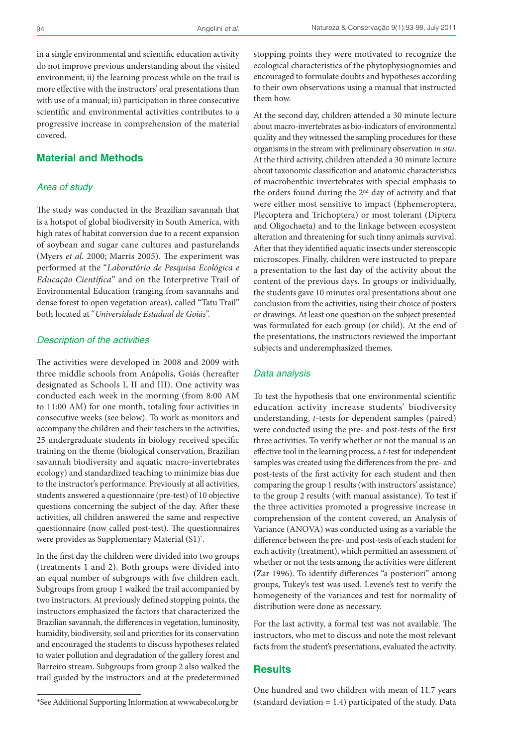in a single environmental and scientific education activity do not improve previous understanding about the visited environment; ii) the learning process while on the trail is more effective with the instructors' oral presentations than with use of a manual; iii) participation in three consecutive scientific and environmental activities contributes to a progressive increase in comprehension of the material covered.

## **Material and Methods**

## *Area of study*

The study was conducted in the Brazilian savannah that is a hotspot of global biodiversity in South America, with high rates of habitat conversion due to a recent expansion of soybean and sugar cane cultures and pasturelands (Myers *et al.* 2000; Marris 2005). The experiment was performed at the "*Laboratório de Pesquisa Ecológica e Educação Científica*" and on the Interpretive Trail of Environmental Education (ranging from savannahs and dense forest to open vegetation areas), called "Tatu Trail" both located at "*Universidade Estadual de Goiás*".

#### *Description of the activities*

The activities were developed in 2008 and 2009 with three middle schools from Anápolis, Goiás (hereafter designated as Schools I, II and III). One activity was conducted each week in the morning (from 8:00 AM to 11:00 AM) for one month, totaling four activities in consecutive weeks (see below). To work as monitors and accompany the children and their teachers in the activities, 25 undergraduate students in biology received specific training on the theme (biological conservation, Brazilian savannah biodiversity and aquatic macro-invertebrates ecology) and standardized teaching to minimize bias due to the instructor's performance. Previously at all activities, students answered a questionnaire (pre-test) of 10 objective questions concerning the subject of the day. After these activities, all children answered the same and respective questionnaire (now called post-test). The questionnaires were provides as Supplementary Material (S1)\* .

In the first day the children were divided into two groups (treatments 1 and 2). Both groups were divided into an equal number of subgroups with five children each. Subgroups from group 1 walked the trail accompanied by two instructors. At previously defined stopping points, the instructors emphasized the factors that characterized the Brazilian savannah, the differences in vegetation, luminosity, humidity, biodiversity, soil and priorities for its conservation and encouraged the students to discuss hypotheses related to water pollution and degradation of the gallery forest and Barreiro stream. Subgroups from group 2 also walked the trail guided by the instructors and at the predetermined stopping points they were motivated to recognize the ecological characteristics of the phytophysiognomies and encouraged to formulate doubts and hypotheses according to their own observations using a manual that instructed them how.

At the second day, children attended a 30 minute lecture about macro-invertebrates as bio-indicators of environmental quality and they witnessed the sampling procedures for these organisms in the stream with preliminary observation *in situ*. At the third activity, children attended a 30 minute lecture about taxonomic classification and anatomic characteristics of macrobenthic invertebrates with special emphasis to the orders found during the 2nd day of activity and that were either most sensitive to impact (Ephemeroptera, Plecoptera and Trichoptera) or most tolerant (Diptera and Oligochaeta) and to the linkage between ecosystem alteration and threatening for such tinny animals survival. After that they identified aquatic insects under stereoscopic microscopes. Finally, children were instructed to prepare a presentation to the last day of the activity about the content of the previous days. In groups or individually, the students gave 10 minutes oral presentations about one conclusion from the activities, using their choice of posters or drawings. At least one question on the subject presented was formulated for each group (or child). At the end of the presentations, the instructors reviewed the important subjects and underemphasized themes.

#### *Data analysis*

To test the hypothesis that one environmental scientific education activity increase students' biodiversity understanding, *t*-tests for dependent samples (paired) were conducted using the pre- and post-tests of the first three activities. To verify whether or not the manual is an effective tool in the learning process, a *t*-test for independent samples was created using the differences from the pre- and post-tests of the first activity for each student and then comparing the group 1 results (with instructors' assistance) to the group 2 results (with manual assistance). To test if the three activities promoted a progressive increase in comprehension of the content covered, an Analysis of Variance (ANOVA) was conducted using as a variable the difference between the pre- and post-tests of each student for each activity (treatment), which permitted an assessment of whether or not the tests among the activities were different (Zar 1996). To identify differences "a posteriori" among groups, Tukey's test was used. Levene's test to verify the homogeneity of the variances and test for normality of distribution were done as necessary.

For the last activity, a formal test was not available. The instructors, who met to discuss and note the most relevant facts from the student's presentations, evaluated the activity.

#### **Results**

One hundred and two children with mean of 11.7 years (standard deviation  $= 1.4$ ) participated of the study. Data

<sup>\*</sup>See Additional Supporting Information at www.abecol.org.br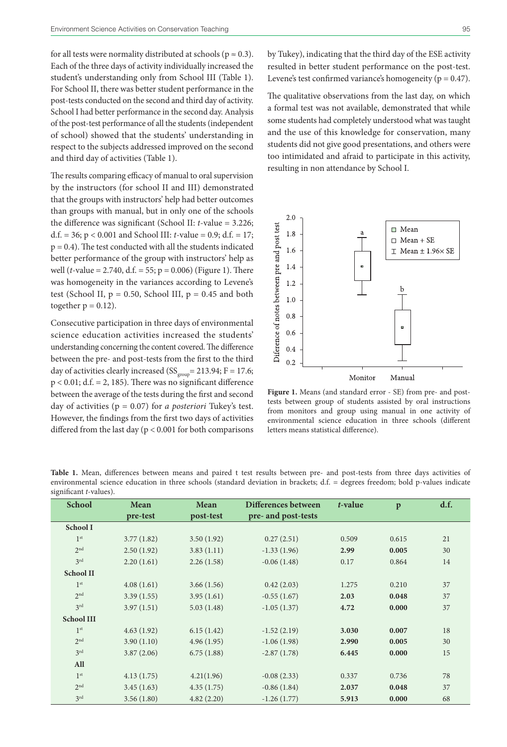for all tests were normality distributed at schools ( $p \approx 0.3$ ). Each of the three days of activity individually increased the student's understanding only from School III (Table 1). For School II, there was better student performance in the post-tests conducted on the second and third day of activity. School I had better performance in the second day. Analysis of the post-test performance of all the students (independent of school) showed that the students' understanding in respect to the subjects addressed improved on the second and third day of activities (Table 1).

The results comparing efficacy of manual to oral supervision by the instructors (for school II and III) demonstrated that the groups with instructors' help had better outcomes than groups with manual, but in only one of the schools the difference was significant (School II: *t*-value = 3.226; d.f. = 36; p < 0.001 and School III: *t*-value = 0.9; d.f. = 17;  $p = 0.4$ ). The test conducted with all the students indicated better performance of the group with instructors' help as well (*t*-value = 2.740, d.f. = 55; p = 0.006) (Figure 1). There was homogeneity in the variances according to Levene's test (School II,  $p = 0.50$ , School III,  $p = 0.45$  and both together  $p = 0.12$ ).

Consecutive participation in three days of environmental science education activities increased the students' understanding concerning the content covered. The difference between the pre- and post-tests from the first to the third day of activities clearly increased ( $SS_{\text{group}} = 213.94; F = 17.6;$  $p < 0.01$ ; d.f. = 2, 185). There was no significant difference between the average of the tests during the first and second day of activities (p = 0.07) for *a posteriori* Tukey's test. However, the findings from the first two days of activities differed from the last day ( $p < 0.001$  for both comparisons by Tukey), indicating that the third day of the ESE activity resulted in better student performance on the post-test. Levene's test confirmed variance's homogeneity ( $p = 0.47$ ).

The qualitative observations from the last day, on which a formal test was not available, demonstrated that while some students had completely understood what was taught and the use of this knowledge for conservation, many students did not give good presentations, and others were too intimidated and afraid to participate in this activity, resulting in non attendance by School I.



**Figure 1.** Means (and standard error - SE) from pre- and posttests between group of students assisted by oral instructions from monitors and group using manual in one activity of environmental science education in three schools (different letters means statistical difference).

| Table 1. Mean, differences between means and paired t test results between pre- and post-tests from three days activities of     |  |  |  |  |  |  |  |  |
|----------------------------------------------------------------------------------------------------------------------------------|--|--|--|--|--|--|--|--|
| environmental science education in three schools (standard deviation in brackets; d.f. = degrees freedom; bold p-values indicate |  |  |  |  |  |  |  |  |
| significant <i>t</i> -values).                                                                                                   |  |  |  |  |  |  |  |  |

| <b>School</b>     | Mean       | Mean       | Differences between | t-value | $\mathbf{p}$ | d.f. |
|-------------------|------------|------------|---------------------|---------|--------------|------|
|                   | pre-test   | post-test  | pre- and post-tests |         |              |      |
| School I          |            |            |                     |         |              |      |
| 1 <sup>st</sup>   | 3.77(1.82) | 3.50(1.92) | 0.27(2.51)          | 0.509   | 0.615        | 21   |
| 2 <sub>nd</sub>   | 2.50(1.92) | 3.83(1.11) | $-1.33(1.96)$       | 2.99    | 0.005        | 30   |
| 3 <sup>rd</sup>   | 2.20(1.61) | 2.26(1.58) | $-0.06(1.48)$       | 0.17    | 0.864        | 14   |
| <b>School II</b>  |            |            |                     |         |              |      |
| 1 <sup>st</sup>   | 4.08(1.61) | 3.66(1.56) | 0.42(2.03)          | 1.275   | 0.210        | 37   |
| 2 <sup>nd</sup>   | 3.39(1.55) | 3.95(1.61) | $-0.55(1.67)$       | 2.03    | 0.048        | 37   |
| 3 <sup>rd</sup>   | 3.97(1.51) | 5.03(1.48) | $-1.05(1.37)$       | 4.72    | 0.000        | 37   |
| <b>School III</b> |            |            |                     |         |              |      |
| 1 <sup>st</sup>   | 4.63(1.92) | 6.15(1.42) | $-1.52(2.19)$       | 3.030   | 0.007        | 18   |
| 2 <sup>nd</sup>   | 3.90(1.10) | 4.96(1.95) | $-1.06(1.98)$       | 2.990   | 0.005        | 30   |
| 3 <sup>rd</sup>   | 3.87(2.06) | 6.75(1.88) | $-2.87(1.78)$       | 6.445   | 0.000        | 15   |
| All               |            |            |                     |         |              |      |
| 1 <sup>st</sup>   | 4.13(1.75) | 4.21(1.96) | $-0.08(2.33)$       | 0.337   | 0.736        | 78   |
| 2 <sup>nd</sup>   | 3.45(1.63) | 4.35(1.75) | $-0.86(1.84)$       | 2.037   | 0.048        | 37   |
| 3rd               | 3.56(1.80) | 4.82(2.20) | $-1.26(1.77)$       | 5.913   | 0.000        | 68   |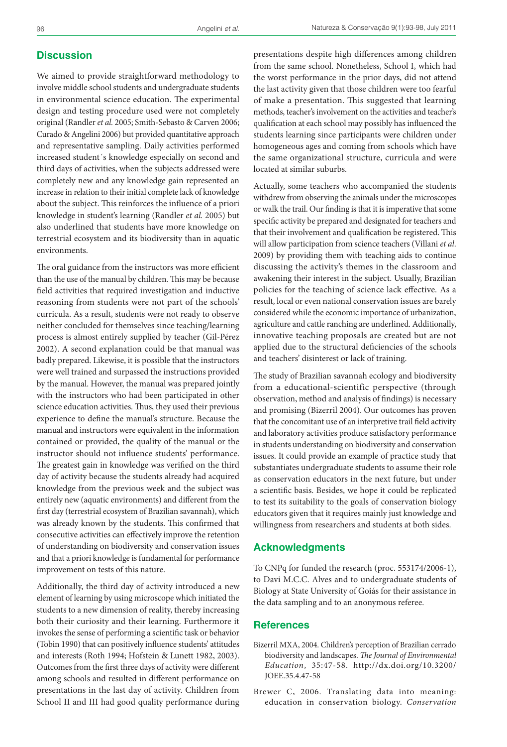## **Discussion**

We aimed to provide straightforward methodology to involve middle school students and undergraduate students in environmental science education. The experimental design and testing procedure used were not completely original (Randler *et al.* 2005; Smith-Sebasto & Carven 2006; Curado & Angelini 2006) but provided quantitative approach and representative sampling. Daily activities performed increased student´s knowledge especially on second and third days of activities, when the subjects addressed were completely new and any knowledge gain represented an increase in relation to their initial complete lack of knowledge about the subject. This reinforces the influence of a priori knowledge in student's learning (Randler *et al.* 2005) but also underlined that students have more knowledge on terrestrial ecosystem and its biodiversity than in aquatic environments.

The oral guidance from the instructors was more efficient than the use of the manual by children. This may be because field activities that required investigation and inductive reasoning from students were not part of the schools' curricula. As a result, students were not ready to observe neither concluded for themselves since teaching/learning process is almost entirely supplied by teacher (Gil-Pérez 2002). A second explanation could be that manual was badly prepared. Likewise, it is possible that the instructors were well trained and surpassed the instructions provided by the manual. However, the manual was prepared jointly with the instructors who had been participated in other science education activities. Thus, they used their previous experience to define the manual's structure. Because the manual and instructors were equivalent in the information contained or provided, the quality of the manual or the instructor should not influence students' performance. The greatest gain in knowledge was verified on the third day of activity because the students already had acquired knowledge from the previous week and the subject was entirely new (aquatic environments) and different from the first day (terrestrial ecosystem of Brazilian savannah), which was already known by the students. This confirmed that consecutive activities can effectively improve the retention of understanding on biodiversity and conservation issues and that a priori knowledge is fundamental for performance improvement on tests of this nature.

Additionally, the third day of activity introduced a new element of learning by using microscope which initiated the students to a new dimension of reality, thereby increasing both their curiosity and their learning. Furthermore it invokes the sense of performing a scientific task or behavior (Tobin 1990) that can positively influence students' attitudes and interests (Roth 1994; Hofstein & Lunett 1982, 2003). Outcomes from the first three days of activity were different among schools and resulted in different performance on presentations in the last day of activity. Children from School II and III had good quality performance during

presentations despite high differences among children from the same school. Nonetheless, School I, which had the worst performance in the prior days, did not attend the last activity given that those children were too fearful of make a presentation. This suggested that learning methods, teacher's involvement on the activities and teacher's qualification at each school may possibly has influenced the students learning since participants were children under homogeneous ages and coming from schools which have the same organizational structure, curricula and were located at similar suburbs.

Actually, some teachers who accompanied the students withdrew from observing the animals under the microscopes or walk the trail. Our finding is that it is imperative that some specific activity be prepared and designated for teachers and that their involvement and qualification be registered. This will allow participation from science teachers (Villani *et al*. 2009) by providing them with teaching aids to continue discussing the activity's themes in the classroom and awakening their interest in the subject. Usually, Brazilian policies for the teaching of science lack effective. As a result, local or even national conservation issues are barely considered while the economic importance of urbanization, agriculture and cattle ranching are underlined. Additionally, innovative teaching proposals are created but are not applied due to the structural deficiencies of the schools and teachers' disinterest or lack of training.

The study of Brazilian savannah ecology and biodiversity from a educational-scientific perspective (through observation, method and analysis of findings) is necessary and promising (Bizerril 2004). Our outcomes has proven that the concomitant use of an interpretive trail field activity and laboratory activities produce satisfactory performance in students understanding on biodiversity and conservation issues. It could provide an example of practice study that substantiates undergraduate students to assume their role as conservation educators in the next future, but under a scientific basis. Besides, we hope it could be replicated to test its suitability to the goals of conservation biology educators given that it requires mainly just knowledge and willingness from researchers and students at both sides.

#### **Acknowledgments**

To CNPq for funded the research (proc. 553174/2006-1), to Davi M.C.C. Alves and to undergraduate students of Biology at State University of Goiás for their assistance in the data sampling and to an anonymous referee.

#### **References**

- Bizerril MXA, 2004. Children's perception of Brazilian cerrado biodiversity and landscapes. *The Journal of Environmental Education*, 35:47-58. [http://dx.doi.org/10.3200/](http://dx.doi.org/10.3200/JOEE.35.4.47-58) [JOEE.35.4.47-58](http://dx.doi.org/10.3200/JOEE.35.4.47-58)
- Brewer C, 2006. Translating data into meaning: education in conservation biology. *Conservation*